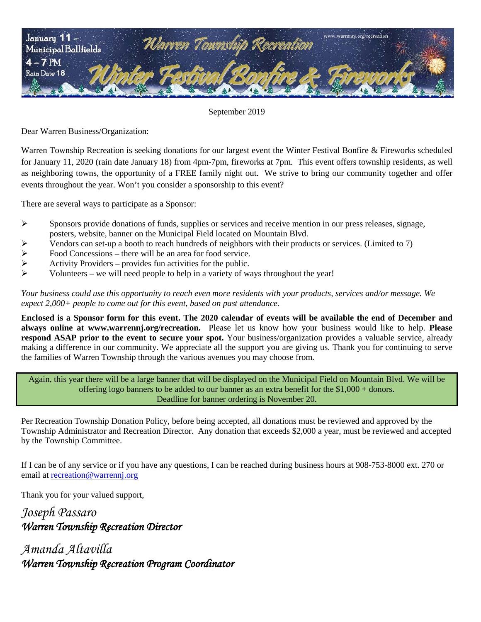

September 2019

Dear Warren Business/Organization:

Warren Township Recreation is seeking donations for our largest event the Winter Festival Bonfire & Fireworks scheduled for January 11, 2020 (rain date January 18) from 4pm-7pm, fireworks at 7pm. This event offers township residents, as well as neighboring towns, the opportunity of a FREE family night out. We strive to bring our community together and offer events throughout the year. Won't you consider a sponsorship to this event?

There are several ways to participate as a Sponsor:

- $\triangleright$  Sponsors provide donations of funds, supplies or services and receive mention in our press releases, signage, posters, website, banner on the Municipal Field located on Mountain Blvd.
- Vendors can set-up a booth to reach hundreds of neighbors with their products or services. (Limited to 7)<br>
Food Concessions there will be an area for food service.<br>
Activity Providers provides fun activities for the p
- Food Concessions there will be an area for food service.
- Activity Providers provides fun activities for the public.
- Volunteers we will need people to help in a variety of ways throughout the year!

*Your business could use this opportunity to reach even more residents with your products, services and/or message. We expect 2,000+ people to come out for this event, based on past attendance.*

**Enclosed is a Sponsor form for this event. The 2020 calendar of events will be available the end of December and always online at www.warrennj.org/recreation.** Please let us know how your business would like to help. **Please respond ASAP prior to the event to secure your spot.** Your business/organization provides a valuable service*,* already making a difference in our community. We appreciate all the support you are giving us. Thank you for continuing to serve the families of Warren Township through the various avenues you may choose from.

Again, this year there will be a large banner that will be displayed on the Municipal Field on Mountain Blvd. We will be offering logo banners to be added to our banner as an extra benefit for the \$1,000 + donors. Deadline for banner ordering is November 20.

Per Recreation Township Donation Policy, before being accepted, all donations must be reviewed and approved by the Township Administrator and Recreation Director. Any donation that exceeds \$2,000 a year, must be reviewed and accepted by the Township Committee.

If I can be of any service or if you have any questions, I can be reached during business hours at 908-753-8000 ext. 270 or email at [recreation@warrennj.org](mailto:recreation@warrennj.org)

Thank you for your valued support,

*Joseph Passaro Warren Township Recreation Director* 

*Amanda Altavilla Warren Township Recreation Program Coordinator*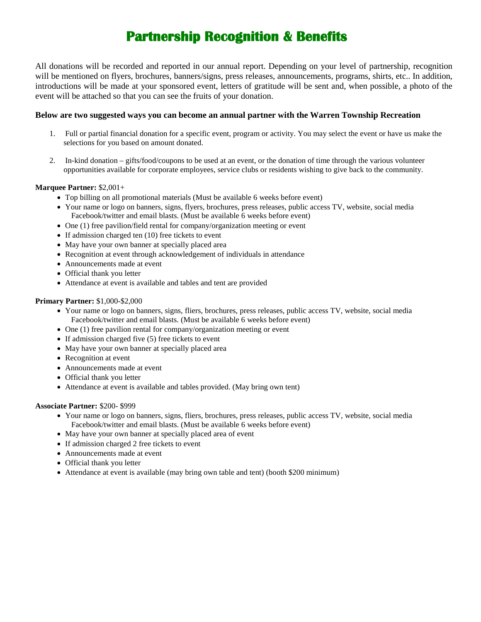# **Partnership Recognition & Benefits**

All donations will be recorded and reported in our annual report. Depending on your level of partnership, recognition will be mentioned on flyers, brochures, banners/signs, press releases, announcements, programs, shirts, etc.. In addition, introductions will be made at your sponsored event, letters of gratitude will be sent and, when possible, a photo of the event will be attached so that you can see the fruits of your donation.

### **Below are two suggested ways you can become an annual partner with the Warren Township Recreation**

- 1. Full or partial financial donation for a specific event, program or activity. You may select the event or have us make the selections for you based on amount donated.
- 2. In-kind donation gifts/food/coupons to be used at an event, or the donation of time through the various volunteer opportunities available for corporate employees, service clubs or residents wishing to give back to the community.

### **Marquee Partner:** \$2,001+

- Top billing on all promotional materials (Must be available 6 weeks before event)
- Your name or logo on banners, signs, flyers, brochures, press releases, public access TV, website, social media Facebook/twitter and email blasts. (Must be available 6 weeks before event)
- One (1) free pavilion/field rental for company/organization meeting or event
- If admission charged ten (10) free tickets to event
- May have your own banner at specially placed area
- Recognition at event through acknowledgement of individuals in attendance
- Announcements made at event
- Official thank you letter
- Attendance at event is available and tables and tent are provided

### **Primary Partner:** \$1,000-\$2,000

- Your name or logo on banners, signs, fliers, brochures, press releases, public access TV, website, social media Facebook/twitter and email blasts. (Must be available 6 weeks before event)
- One (1) free pavilion rental for company/organization meeting or event
- If admission charged five (5) free tickets to event
- May have your own banner at specially placed area
- Recognition at event
- Announcements made at event
- Official thank you letter
- Attendance at event is available and tables provided. (May bring own tent)

#### **Associate Partner:** \$200- \$999

- Your name or logo on banners, signs, fliers, brochures, press releases, public access TV, website, social media Facebook/twitter and email blasts. (Must be available 6 weeks before event)
- May have your own banner at specially placed area of event
- If admission charged 2 free tickets to event
- Announcements made at event
- Official thank you letter
- Attendance at event is available (may bring own table and tent) (booth \$200 minimum)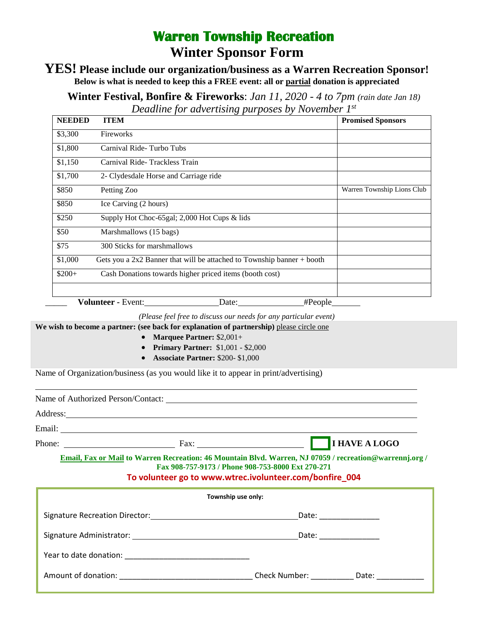# **Warren Township Recreation Winter Sponsor Form**

### **YES! Please include our organization/business as a Warren Recreation Sponsor! Below is what is needed to keep this a FREE event: all or partial donation is appreciated**

**Winter Festival, Bonfire & Fireworks**: *Jan 11, 2020 - 4 to 7pm (rain date Jan 18) Deadline for advertising purposes by November 1st*

| <b>NEEDED</b> | <b>ITEM</b>                                                              | <b>Promised Sponsors</b>   |
|---------------|--------------------------------------------------------------------------|----------------------------|
| \$3,300       | Fireworks                                                                |                            |
| \$1,800       | Carnival Ride-Turbo Tubs                                                 |                            |
| \$1,150       | Carnival Ride-Trackless Train                                            |                            |
| \$1,700       | 2- Clydesdale Horse and Carriage ride                                    |                            |
| \$850         | Petting Zoo                                                              | Warren Township Lions Club |
| \$850         | Ice Carving (2 hours)                                                    |                            |
| \$250         | Supply Hot Choc-65 gal; $2,000$ Hot Cups & lids                          |                            |
| \$50          | Marshmallows (15 bags)                                                   |                            |
| \$75          | 300 Sticks for marshmallows                                              |                            |
| \$1,000       | Gets you a $2x2$ Banner that will be attached to Township banner + booth |                            |
| $$200+$       | Cash Donations towards higher priced items (booth cost)                  |                            |
|               |                                                                          |                            |
|               | <b>Volunteer - Event:</b><br>$\#People$<br>Date:                         |                            |

*(Please feel free to discuss our needs for any particular event)*

We wish to become a partner: (see back for explanation of partnership) please circle one

- **Marquee Partner:** \$2,001+
- **Primary Partner:** \$1,001 \$2,000
- **Associate Partner:** \$200- \$1,000

Name of Organization/business (as you would like it to appear in print/advertising)

| Name of Authorized Person/Contact: |      |               |  |  |  |
|------------------------------------|------|---------------|--|--|--|
| Address:                           |      |               |  |  |  |
| Email:                             |      |               |  |  |  |
| Phone:                             | Fax: | I HAVE A LOGO |  |  |  |

**Email, Fax or Mail to Warren Recreation: 46 Mountain Blvd. Warren, NJ 07059 / recreation@warrennj.org / Fax 908-757-9173 / Phone 908-753-8000 Ext 270-271**

### **To volunteer go to www[.wtrec.ivolunteer.com/bonfire\\_004](https://wtrec.ivolunteer.com/bonfire_004)**

| Township use only: |                                |                   |  |  |
|--------------------|--------------------------------|-------------------|--|--|
|                    | Date: ________________         |                   |  |  |
|                    |                                |                   |  |  |
|                    |                                |                   |  |  |
|                    | Check Number: The Check Number | Date: ___________ |  |  |